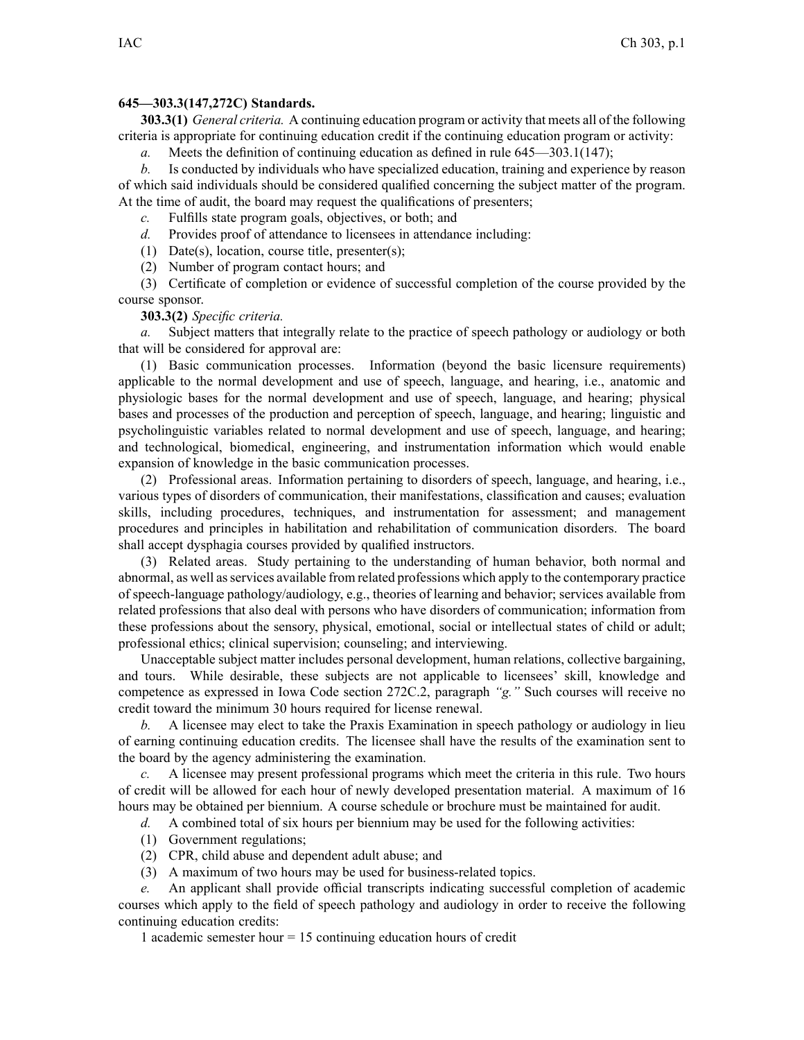## **645—303.3(147,272C) Standards.**

**303.3(1)** *General criteria.* A continuing education program or activity that meets all of the following criteria is appropriate for continuing education credit if the continuing education program or activity:

*a.* Meets the definition of continuing education as defined in rule [645—303.1](https://www.legis.iowa.gov/docs/iac/rule/645.303.1.pdf)(147);

*b.* Is conducted by individuals who have specialized education, training and experience by reason of which said individuals should be considered qualified concerning the subject matter of the program. At the time of audit, the board may reques<sup>t</sup> the qualifications of presenters;

*c.* Fulfills state program goals, objectives, or both; and

*d.* Provides proof of attendance to licensees in attendance including:

(1) Date(s), location, course title, presenter(s);

(2) Number of program contact hours; and

(3) Certificate of completion or evidence of successful completion of the course provided by the course sponsor.

## **303.3(2)** *Specific criteria.*

*a.* Subject matters that integrally relate to the practice of speech pathology or audiology or both that will be considered for approval are:

(1) Basic communication processes. Information (beyond the basic licensure requirements) applicable to the normal development and use of speech, language, and hearing, i.e., anatomic and physiologic bases for the normal development and use of speech, language, and hearing; physical bases and processes of the production and perception of speech, language, and hearing; linguistic and psycholinguistic variables related to normal development and use of speech, language, and hearing; and technological, biomedical, engineering, and instrumentation information which would enable expansion of knowledge in the basic communication processes.

(2) Professional areas. Information pertaining to disorders of speech, language, and hearing, i.e., various types of disorders of communication, their manifestations, classification and causes; evaluation skills, including procedures, techniques, and instrumentation for assessment; and managemen<sup>t</sup> procedures and principles in habilitation and rehabilitation of communication disorders. The board shall accep<sup>t</sup> dysphagia courses provided by qualified instructors.

(3) Related areas. Study pertaining to the understanding of human behavior, both normal and abnormal, as well asservices available from related professions which apply to the contemporary practice of speech-language pathology/audiology, e.g., theories of learning and behavior; services available from related professions that also deal with persons who have disorders of communication; information from these professions about the sensory, physical, emotional, social or intellectual states of child or adult; professional ethics; clinical supervision; counseling; and interviewing.

Unacceptable subject matter includes personal development, human relations, collective bargaining, and tours. While desirable, these subjects are not applicable to licensees' skill, knowledge and competence as expressed in Iowa Code section [272C.2](https://www.legis.iowa.gov/docs/ico/section/272C.2.pdf), paragraph *"g."* Such courses will receive no credit toward the minimum 30 hours required for license renewal.

*b.* A licensee may elect to take the Praxis Examination in speech pathology or audiology in lieu of earning continuing education credits. The licensee shall have the results of the examination sent to the board by the agency administering the examination.

*c.* A licensee may presen<sup>t</sup> professional programs which meet the criteria in this rule. Two hours of credit will be allowed for each hour of newly developed presentation material. A maximum of 16 hours may be obtained per biennium. A course schedule or brochure must be maintained for audit.

*d.* A combined total of six hours per biennium may be used for the following activities:

- (1) Government regulations;
- (2) CPR, child abuse and dependent adult abuse; and
- (3) A maximum of two hours may be used for business-related topics.

*e.* An applicant shall provide official transcripts indicating successful completion of academic courses which apply to the field of speech pathology and audiology in order to receive the following continuing education credits:

1 academic semester hour <sup>=</sup> 15 continuing education hours of credit